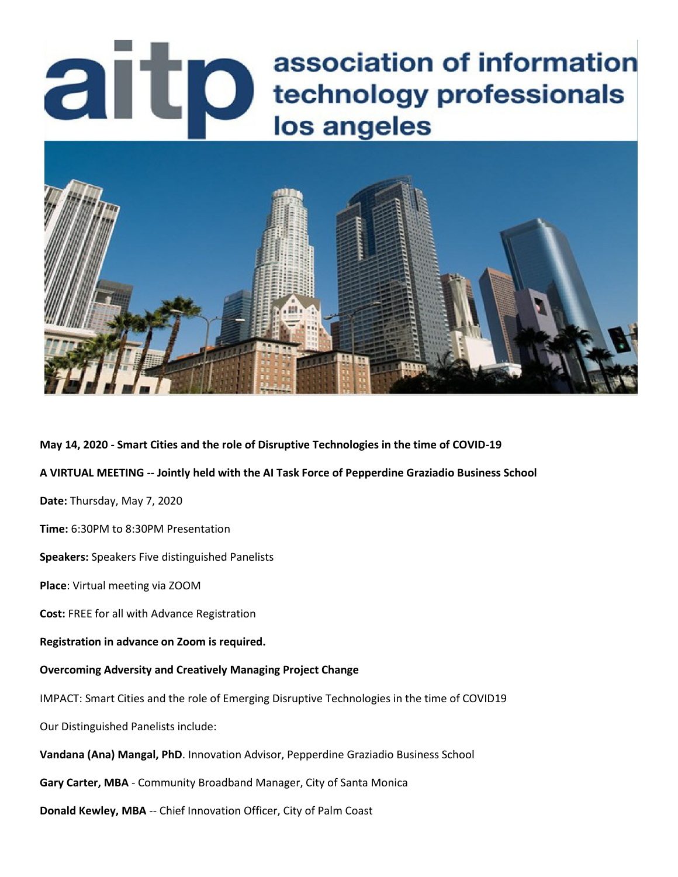# association of information **association of information**<br>**association of information<br>los angeles** los angeles



**May 14, 2020 - Smart Cities and the role of Disruptive Technologies in the time of COVID-19**

**A VIRTUAL MEETING -- Jointly held with the AI Task Force of Pepperdine Graziadio Business School** 

**Date:** Thursday, May 7, 2020

**Time:** 6:30PM to 8:30PM Presentation

**Speakers:** Speakers Five distinguished Panelists

**Place**: Virtual meeting via ZOOM

**Cost:** FREE for all with Advance Registration

**Registration in advance on Zoom is required.**

### **Overcoming Adversity and Creatively Managing Project Change**

IMPACT: Smart Cities and the role of Emerging Disruptive Technologies in the time of COVID19

Our Distinguished Panelists include:

**Vandana (Ana) Mangal, PhD**. Innovation Advisor, Pepperdine Graziadio Business School

**Gary Carter, MBA** - Community Broadband Manager, City of Santa Monica

**Donald Kewley, MBA** -- Chief Innovation Officer, City of Palm Coast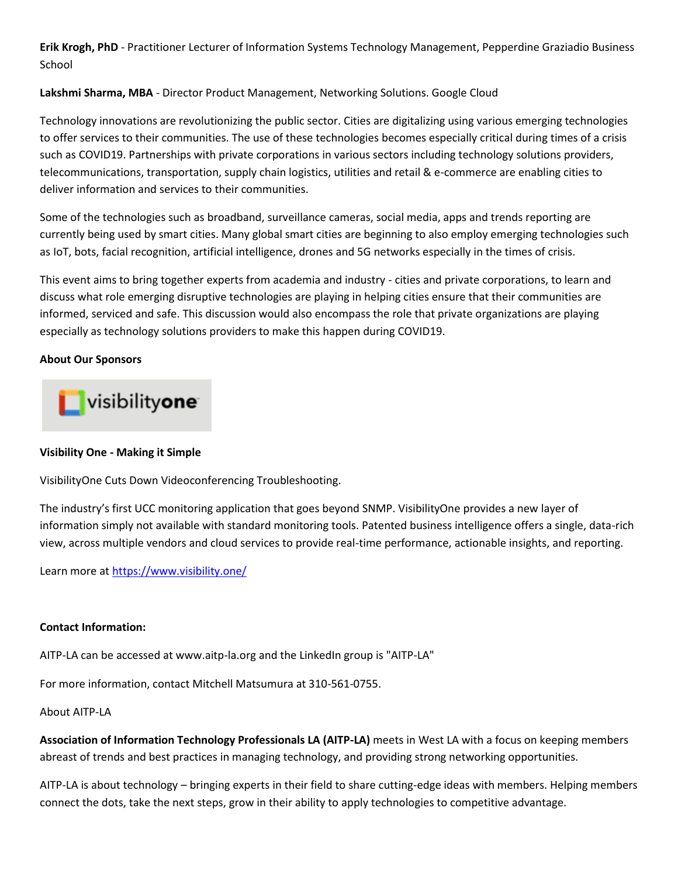**Erik Krogh, PhD** - Practitioner Lecturer of Information Systems Technology Management, Pepperdine Graziadio Business School

### **Lakshmi Sharma, MBA** - Director Product Management, Networking Solutions. Google Cloud

Technology innovations are revolutionizing the public sector. Cities are digitalizing using various emerging technologies to offer services to their communities. The use of these technologies becomes especially critical during times of a crisis such as COVID19. Partnerships with private corporations in various sectors including technology solutions providers, telecommunications, transportation, supply chain logistics, utilities and retail & e-commerce are enabling cities to deliver information and services to their communities.

Some of the technologies such as broadband, surveillance cameras, social media, apps and trends reporting are currently being used by smart cities. Many global smart cities are beginning to also employ emerging technologies such as IoT, bots, facial recognition, artificial intelligence, drones and 5G networks especially in the times of crisis.

This event aims to bring together experts from academia and industry - cities and private corporations, to learn and discuss what role emerging disruptive technologies are playing in helping cities ensure that their communities are informed, serviced and safe. This discussion would also encompass the role that private organizations are playing especially as technology solutions providers to make this happen during COVID19.

### **About Our Sponsors**

# visibilityone

## **Visibility One - Making it Simple**

VisibilityOne Cuts Down Videoconferencing Troubleshooting.

The industry's first UCC monitoring application that goes beyond SNMP. VisibilityOne provides a new layer of information simply not available with standard monitoring tools. Patented business intelligence offers a single, data-rich view, across multiple vendors and cloud services to provide real-time performance, actionable insights, and reporting.

Learn more at<https://www.visibility.one/>

### **Contact Information:**

AITP-LA can be accessed at www.aitp-la.org and the LinkedIn group is "AITP-LA"

For more information, contact Mitchell Matsumura at 310-561-0755.

### About AITP-LA

**Association of Information Technology Professionals LA (AITP-LA)** meets in West LA with a focus on keeping members abreast of trends and best practices in managing technology, and providing strong networking opportunities.

AITP-LA is about technology – bringing experts in their field to share cutting-edge ideas with members. Helping members connect the dots, take the next steps, grow in their ability to apply technologies to competitive advantage.